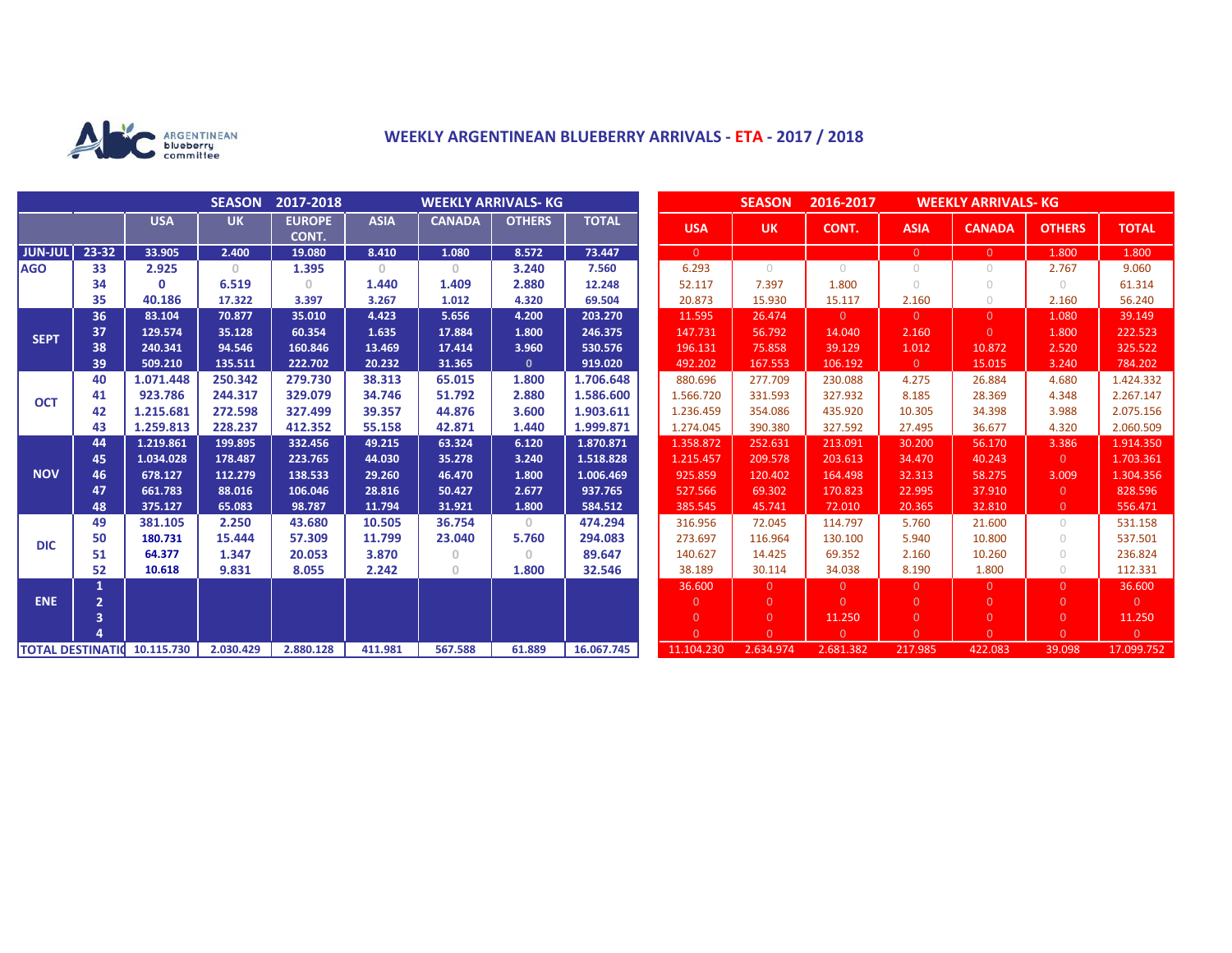

## **WEEKLY ARGENTINEAN BLUEBERRY ARRIVALS - ETA - 2017 / 2018**

|                          |                |              | <b>SEASON</b> | 2017-2018              | <b>WEEKLY ARRIVALS- KG</b> |               |                                       |              |  | <b>SEASON</b><br>2016-2017<br><b>WEEKLY ARRIVALS-KG</b> |                |            |                |                |                |                |
|--------------------------|----------------|--------------|---------------|------------------------|----------------------------|---------------|---------------------------------------|--------------|--|---------------------------------------------------------|----------------|------------|----------------|----------------|----------------|----------------|
|                          |                | <b>USA</b>   | <b>UK</b>     | <b>EUROPE</b><br>CONT. | <b>ASIA</b>                | <b>CANADA</b> | <b>OTHERS</b>                         | <b>TOTAL</b> |  | <b>USA</b>                                              | <b>UK</b>      | CONT.      | <b>ASIA</b>    | <b>CANADA</b>  | <b>OTHERS</b>  | <b>TOTAL</b>   |
| <b>JUN-JUL</b>           | $23 - 32$      | 33.905       | 2.400         | 19.080                 | 8.410                      | 1.080         | 8.572                                 | 73.447       |  | $\overline{0}$                                          |                |            | $\overline{0}$ | $\Omega$       | 1.800          | 1.800          |
| <b>AGO</b>               | 33             | 2.925        | $\mathbf{0}$  | 1.395                  | $\Omega$                   | $\circ$       | 3.240                                 | 7.560        |  | 6.293                                                   | $\bigcirc$     | $\bigcirc$ | $\circ$        | 0              | 2.767          | 9.060          |
|                          | 34             | $\mathbf{0}$ | 6.519         | $\Omega$               | 1.440                      | 1.409         | 2.880                                 | 12.248       |  | 52.117                                                  | 7.397          | 1.800      | $\bigcirc$     | $\bigcirc$     | $\bigcirc$     | 61.314         |
|                          | 35             | 40.186       | 17.322        | 3.397                  | 3.267                      | 1.012         | 4.320                                 | 69.504       |  | 20.873                                                  | 15.930         | 15.117     | 2.160          | $\bigcirc$     | 2.160          | 56.240         |
| <b>SEPT</b>              | 36             | 83.104       | 70.877        | 35.010                 | 4.423                      | 5.656         | 4.200                                 | 203.270      |  | 11.595                                                  | 26.474         | $\Omega$   | $\overline{0}$ | $\Omega$       | 1.080          | 39.149         |
|                          | 37             | 129.574      | 35.128        | 60.354                 | 1.635                      | 17.884        | 1.800                                 | 246.375      |  | 147.731                                                 | 56.792         | 14.040     | 2.160          | $\Omega$       | 1.800          | 222.523        |
|                          | 38             | 240.341      | 94.546        | 160.846                | 13.469                     | 17.414        | 3.960                                 | 530.576      |  | 196.131                                                 | 75.858         | 39.129     | 1.012          | 10.872         | 2.520          | 325.522        |
|                          | 39             | 509.210      | 135.511       | 222.702                | 20.232                     | 31.365        | $\mathbf{0}$                          | 919.020      |  | 492.202                                                 | 167.553        | 106.192    | $\overline{0}$ | 15.015         | 3.240          | 784.202        |
| <b>OCT</b>               | 40             | 1.071.448    | 250.342       | 279.730                | 38.313                     | 65.015        | 1.800                                 | 1.706.648    |  | 880.696                                                 | 277.709        | 230.088    | 4.275          | 26.884         | 4.680          | 1.424.332      |
|                          | 41             | 923.786      | 244.317       | 329.079                | 34.746                     | 51.792        | 2.880                                 | 1.586.600    |  | 1.566.720                                               | 331.593        | 327.932    | 8.185          | 28.369         | 4.348          | 2.267.147      |
|                          | 42             | 1.215.681    | 272.598       | 327.499                | 39.357                     | 44.876        | 3.600                                 | 1.903.611    |  | 1.236.459                                               | 354.086        | 435.920    | 10.305         | 34.398         | 3.988          | 2.075.156      |
|                          | 43             | 1.259.813    | 228.237       | 412.352                | 55.158                     | 42.871        | 1.440                                 | 1.999.871    |  | 1.274.045                                               | 390.380        | 327.592    | 27.495         | 36.677         | 4.320          | 2.060.509      |
| <b>NOV</b>               | 44             | 1.219.861    | 199.895       | 332.456                | 49.215                     | 63.324        | 6.120                                 | 1.870.871    |  | 1.358.872                                               | 252.631        | 213.091    | 30.200         | 56.170         | 3.386          | 1.914.350      |
|                          | 45             | 1.034.028    | 178.487       | 223.765                | 44.030                     | 35.278        | 3.240                                 | 1.518.828    |  | 1.215.457                                               | 209.578        | 203.613    | 34.470         | 40.243         | $\overline{0}$ | 1.703.361      |
|                          | 46             | 678.127      | 112.279       | 138.533                | 29.260                     | 46.470        | 1.800                                 | 1.006.469    |  | 925.859                                                 | 120.402        | 164.498    | 32.313         | 58.275         | 3.009          | 1.304.356      |
|                          | 47             | 661.783      | 88.016        | 106.046                | 28.816                     | 50.427        | 2.677                                 | 937.765      |  | 527.566                                                 | 69.302         | 170.823    | 22.995         | 37.910         | $\Omega$       | 828.596        |
|                          | 48             | 375.127      | 65.083        | 98.787                 | 11.794                     | 31.921        | 1.800                                 | 584.512      |  | 385.545                                                 | 45.741         | 72.010     | 20.365         | 32.810         | $\overline{0}$ | 556.471        |
| <b>DIC</b>               | 49             | 381.105      | 2.250         | 43.680                 | 10.505                     | 36.754        | $\circ$                               | 474.294      |  | 316.956                                                 | 72.045         | 114.797    | 5.760          | 21.600         | $\cup$         | 531.158        |
|                          | 50             | 180.731      | 15,444        | 57.309                 | 11.799                     | 23.040        | 5.760                                 | 294.083      |  | 273.697                                                 | 116.964        | 130.100    | 5.940          | 10.800         | $\bigcirc$     | 537.501        |
|                          | 51             | 64.377       | 1.347         | 20.053                 | 3.870                      | $\mathbf{0}$  | $\begin{array}{c} 0 \\ 0 \end{array}$ | 89.647       |  | 140.627                                                 | 14.425         | 69.352     | 2.160          | 10.260         | $\bigcirc$     | 236.824        |
|                          | 52             | 10.618       | 9.831         | 8.055                  | 2.242                      | $\circ$       | 1.800                                 | 32.546       |  | 38.189                                                  | 30.114         | 34.038     | 8.190          | 1.800          | $\bigcirc$     | 112.331        |
| <b>ENE</b>               | 1              |              |               |                        |                            |               |                                       |              |  | 36.600                                                  | $\Omega$       | $\Omega$   | $\overline{0}$ | $\Omega$       | $\Omega$       | 36.600         |
|                          | $\overline{2}$ |              |               |                        |                            |               |                                       |              |  | $\overline{0}$                                          | $\Omega$       | $\Omega$   | $\overline{0}$ | $\Omega$       | $\Omega$       | $\overline{0}$ |
|                          | 3              |              |               |                        |                            |               |                                       |              |  | $\overline{0}$                                          | $\overline{0}$ | 11.250     | $\overline{0}$ | $\overline{0}$ | $\overline{0}$ | 11.250         |
|                          |                |              |               |                        |                            |               |                                       |              |  | $\Omega$                                                | $\Omega$       | $\Omega$   | $\Omega$       | $\Omega$       | $\Omega$       | $\overline{0}$ |
| <b>TOTAL DESTINATION</b> |                | 10.115.730   | 2.030.429     | 2.880.128              | 411.981                    | 567.588       | 61.889                                | 16.067.745   |  | 11.104.230                                              | 2.634.974      | 2.681.382  | 217.985        | 422.083        | 39.098         | 17.099.752     |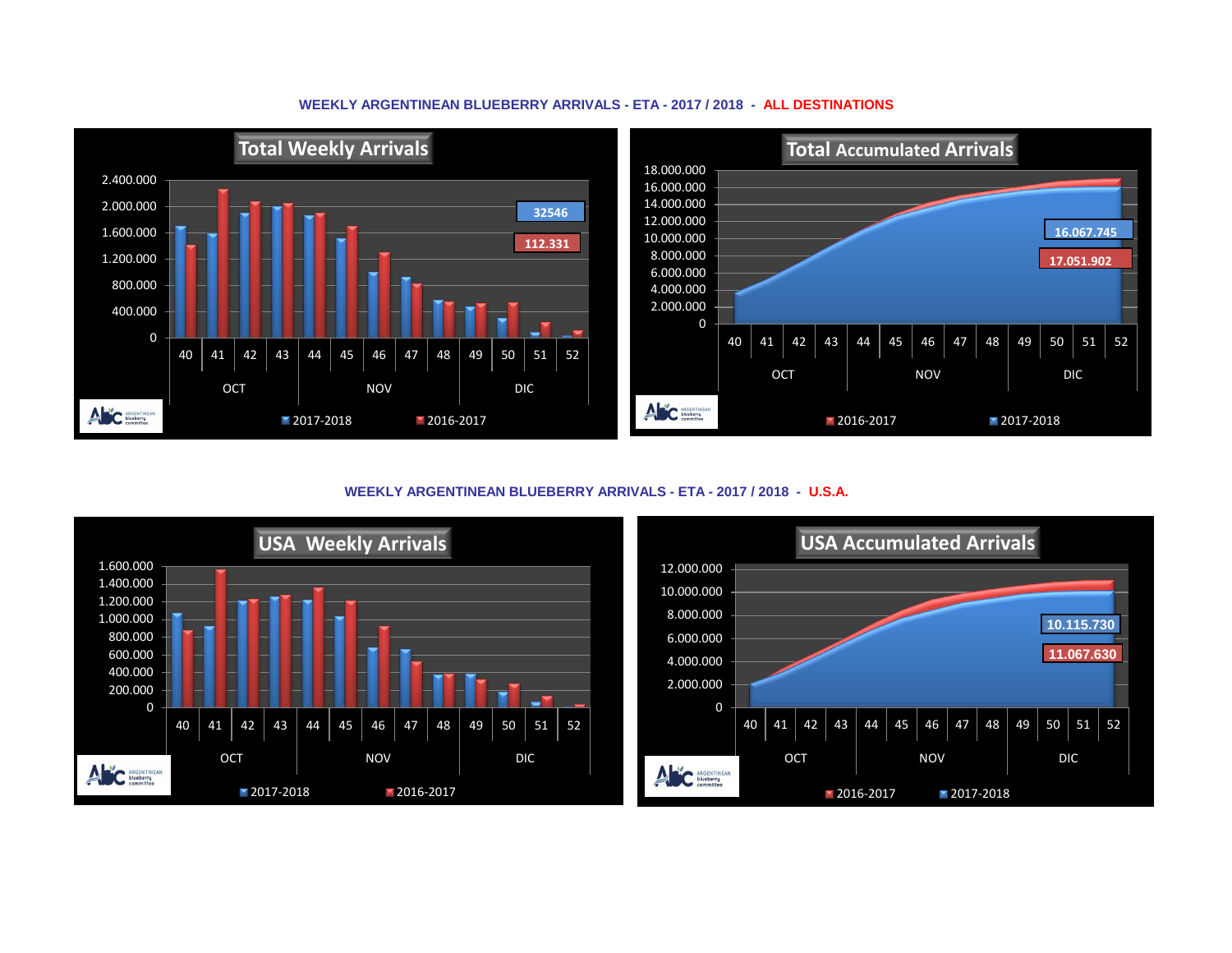## **WEEKLY ARGENTINEAN BLUEBERRY ARRIVALS - ETA - 2017 / 2018 - ALL DESTINATIONS**



**WEEKLY ARGENTINEAN BLUEBERRY ARRIVALS - ETA - 2017 / 2018 - U.S.A.**



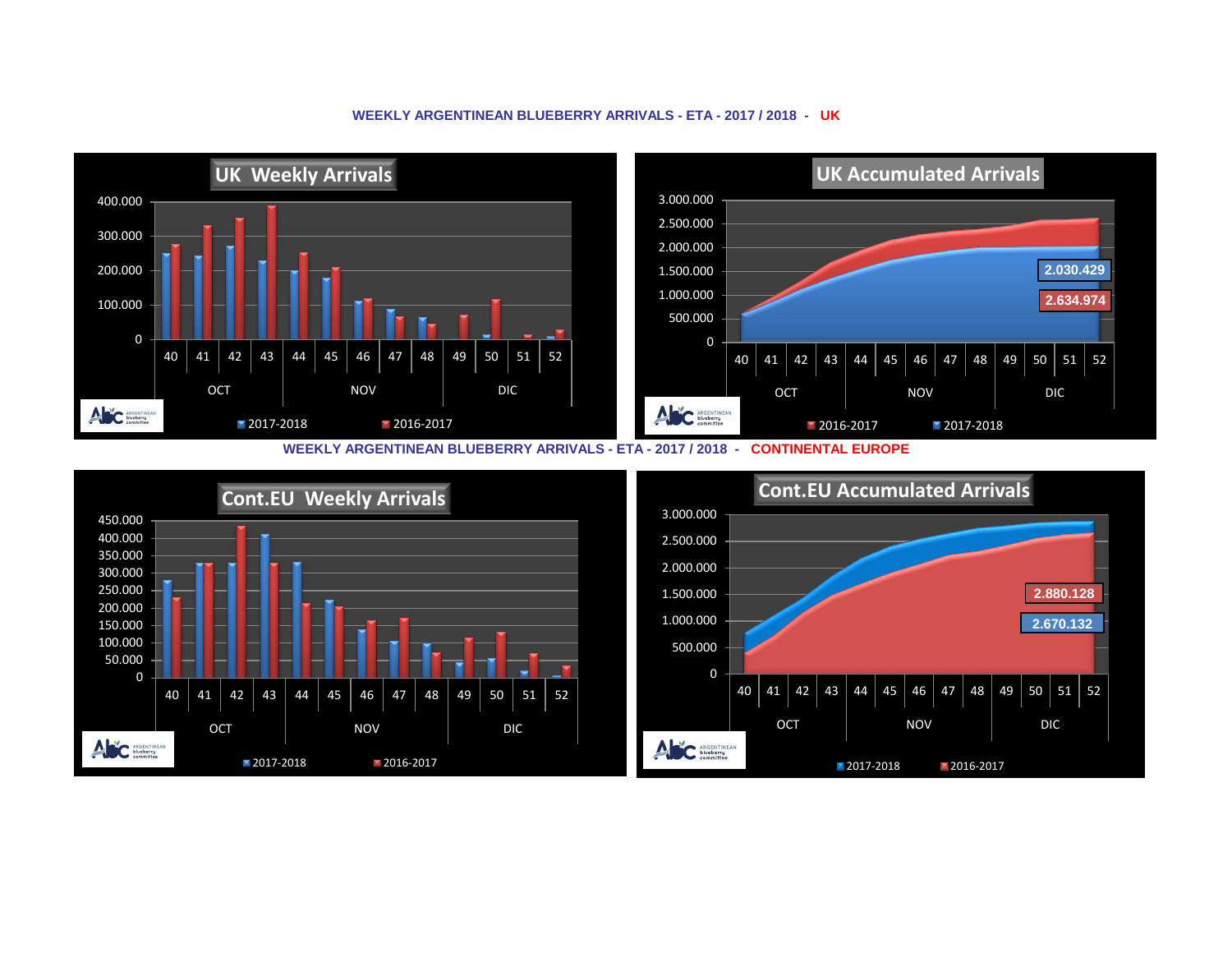## **WEEKLY ARGENTINEAN BLUEBERRY ARRIVALS - ETA - 2017 / 2018 - UK**



**WEEKLY ARGENTINEAN BLUEBERRY ARRIVALS - ETA - 2017 / 2018 - CONTINENTAL EUROPE**